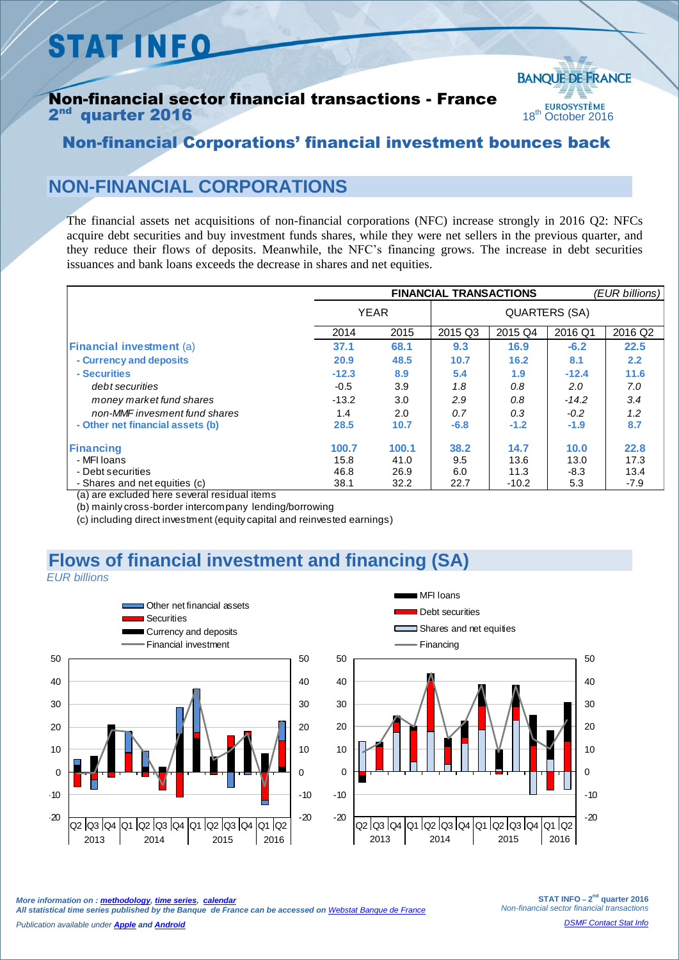# **STAT INFO**

#### Non-financial sector financial transactions - France **2<sup>nd</sup> quarter 2016** 18<sup>th</sup> October 2016



### Non-financial Corporations' financial investment bounces back

## **NON-FINANCIAL CORPORATIONS**

The financial assets net acquisitions of non-financial corporations (NFC) increase strongly in 2016 Q2: NFCs acquire debt securities and buy investment funds shares, while they were net sellers in the previous quarter, and they reduce their flows of deposits. Meanwhile, the NFC's financing grows. The increase in debt securities issuances and bank loans exceeds the decrease in shares and net equities.

|                                                                                                                        | <b>FINANCIAL TRANSACTIONS</b> |       |         |         |         | (EUR billions) |  |
|------------------------------------------------------------------------------------------------------------------------|-------------------------------|-------|---------|---------|---------|----------------|--|
|                                                                                                                        | <b>YEAR</b>                   |       |         |         |         |                |  |
|                                                                                                                        | 2014                          | 2015  | 2015 Q3 | 2015 Q4 | 2016 Q1 | 2016 Q2        |  |
| <b>Financial investment (a)</b>                                                                                        | 37.1                          | 68.1  | 9.3     | 16.9    | $-6.2$  | 22.5           |  |
| - Currency and deposits                                                                                                | 20.9                          | 48.5  | 10.7    | 16.2    | 8.1     | 2.2            |  |
| - Securities                                                                                                           | $-12.3$                       | 8.9   | 5.4     | 1.9     | $-12.4$ | 11.6           |  |
| debt securities                                                                                                        | $-0.5$                        | 3.9   | 1.8     | 0.8     | 2.0     | 7.0            |  |
| money market fund shares                                                                                               | $-13.2$                       | 3.0   | 2.9     | 0.8     | $-14.2$ | 3.4            |  |
| non-MMF invesment fund shares                                                                                          | 1.4                           | 2.0   | 0.7     | 0.3     | $-0.2$  | 1.2            |  |
| - Other net financial assets (b)                                                                                       | 28.5                          | 10.7  | $-6.8$  | $-1.2$  | $-1.9$  | 8.7            |  |
| Financing                                                                                                              | 100.7                         | 100.1 | 38.2    | 14.7    | 10.0    | 22.8           |  |
| - MFI Ioans                                                                                                            | 15.8                          | 41.0  | 9.5     | 13.6    | 13.0    | 17.3           |  |
| - Debt securities                                                                                                      | 46.8                          | 26.9  | 6.0     | 11.3    | $-8.3$  | 13.4           |  |
| - Shares and net equities (c)<br>7 = Village in a contract to all the property as a property that we then the property | 38.1                          | 32.2  | 22.7    | $-10.2$ | 5.3     | $-7.9$         |  |

(a) are excluded here several residual items

(b) mainly cross-border intercompany lending/borrowing

(c) including direct investment (equity capital and reinvested earnings)

#### **Flows of financial investment and financing (SA)**  *EUR billions*





*More information on [: methodology,](https://www.banque-france.fr/fileadmin/user_upload/banque_de_france/Economie_et_Statistiques/Database/Methodology/Methode-CF-base2010.pdf) [time series,](http://webstat.banque-france.fr/en) [calendar](https://www.banque-france.fr/en/economics-statistics/calendar.html)* 

*All statistical time series published by the Banque de France can be accessed on [Webstat Banque de France](hhttp://webstat.banque-france.fr/en/)*

*Publication available under [Apple](https://itunes.apple.com/en/app/banquefrance/id663817914?mt=8) an[d Android](https://play.google.com/store/apps/details?id=fr.bdf.mobile&hl=en)*

**STAT INFO – 2 nd quarter 2016** *Non-financial sector financial transactions*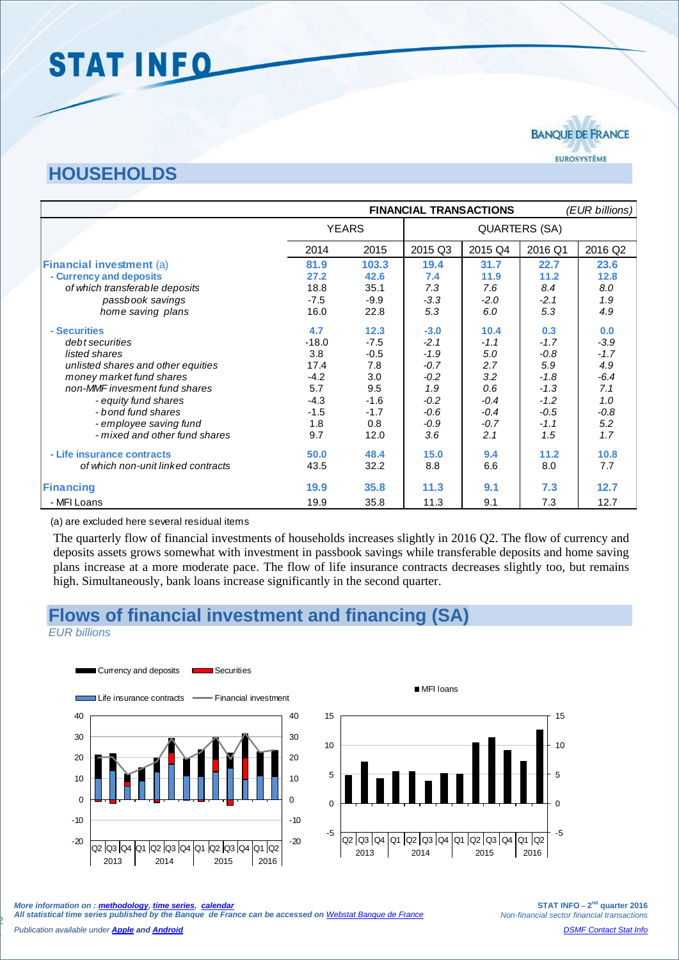# **STAT INFO**

## **HOUSEHOLDS**

|                                    | <b>FINANCIAL TRANSACTIONS</b> |        |                      |         | (EUR billions) |         |
|------------------------------------|-------------------------------|--------|----------------------|---------|----------------|---------|
|                                    | <b>YEARS</b>                  |        | <b>QUARTERS (SA)</b> |         |                |         |
|                                    | 2014                          | 2015   | 2015 Q3              | 2015 Q4 | 2016 Q1        | 2016 Q2 |
| <b>Financial investment (a)</b>    | 81.9                          | 103.3  | 19.4                 | 31.7    | 22.7           | 23.6    |
| - Currency and deposits            | 27.2                          | 42.6   | 7.4                  | 11.9    | 11.2           | 12.8    |
| of which transferable deposits     | 18.8                          | 35.1   | 7.3                  | 7.6     | 8.4            | 8.0     |
| passbook savings                   | $-7.5$                        | $-9.9$ | $-3.3$               | $-2.0$  | $-2.1$         | 1.9     |
| home saving plans                  | 16.0                          | 22.8   | 5.3                  | 6.0     | 5.3            | 4.9     |
| - Securities                       | 4.7                           | 12.3   | $-3.0$               | 10.4    | 0.3            | 0.0     |
| debt securities                    | $-18.0$                       | $-7.5$ | $-2.1$               | $-1.1$  | $-1.7$         | $-3.9$  |
| listed shares                      | 3.8                           | $-0.5$ | $-1.9$               | 5.0     | $-0.8$         | $-1.7$  |
| unlisted shares and other equities | 17.4                          | 7.8    | $-0.7$               | 2.7     | 5.9            | 4.9     |
| money market fund shares           | $-4.2$                        | 3.0    | $-0.2$               | 3.2     | $-1.8$         | $-6.4$  |
| non-MMF invesment fund shares      | 5.7                           | 9.5    | 1.9                  | 0.6     | $-1.3$         | 7.1     |
| - equity fund shares               | $-4.3$                        | $-1.6$ | $-0.2$               | $-0.4$  | $-1.2$         | 1.0     |
| - bond fund shares                 | $-1.5$                        | $-1.7$ | $-0.6$               | $-0.4$  | $-0.5$         | $-0.8$  |
| - employee saving fund             | 1.8                           | 0.8    | $-0.9$               | $-0.7$  | $-1.1$         | 5.2     |
| - mixed and other fund shares      | 9.7                           | 12.0   | 3.6                  | 2.1     | 1.5            | 1.7     |
| - Life insurance contracts         | 50.0                          | 48.4   | 15.0                 | 9.4     | 11.2           | 10.8    |
| of which non-unit linked contracts | 43.5                          | 32.2   | 8.8                  | 6.6     | 8.0            | 7.7     |
| <b>Financing</b>                   | 19.9                          | 35.8   | 11.3                 | 9.1     | 7.3            | 12.7    |
| - MFI Loans                        | 19.9                          | 35.8   | 11.3                 | 9.1     | 7.3            | 12.7    |

#### (a) are excluded here several residual items

The quarterly flow of financial investments of households increases slightly in 2016 Q2. The flow of currency and deposits assets grows somewhat with investment in passbook savings while transferable deposits and home saving plans increase at a more moderate pace. The flow of life insurance contracts decreases slightly too, but remains high. Simultaneously, bank loans increase significantly in the second quarter.

### **Flows of financial investment and financing (SA)**

*EUR billions*

2





*More information on [: methodology,](https://www.banque-france.fr/fileadmin/user_upload/banque_de_france/Economie_et_Statistiques/Database/Methodology/Methode-CF-base2010.pdf) [time series,](http://webstat.banque-france.fr/en) [calendar](https://www.banque-france.fr/en/economics-statistics/calendar.html)  All statistical time series published by the Banque de France can be accessed on [Webstat Banque de France](http://webstat.banque-france.fr/en/)*

**STAT INFO** –  $2^{nd}$  quarter 2016 *Non-financial sector financial transactions [DSMF Contact Stat Info](mailto:1415-CONTACTSI-UT@banque-france.fr?subject=[statistic%20support]%20Comptes%20financiers%20des%20ANF)*

*Publication available under [Apple](https://itunes.apple.com/en/app/banquefrance/id663817914?mt=8) an[d Android](https://play.google.com/store/apps/details?id=fr.bdf.mobile&hl=en)*